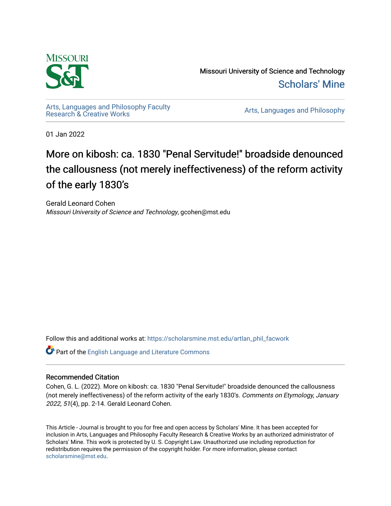

Missouri University of Science and Technology [Scholars' Mine](https://scholarsmine.mst.edu/) 

[Arts, Languages and Philosophy Faculty](https://scholarsmine.mst.edu/artlan_phil_facwork) 

Arts, Languages and Philosophy

01 Jan 2022

# More on kibosh: ca. 1830 "Penal Servitude!" broadside denounced the callousness (not merely ineffectiveness) of the reform activity of the early 1830's

Gerald Leonard Cohen Missouri University of Science and Technology, gcohen@mst.edu

Follow this and additional works at: [https://scholarsmine.mst.edu/artlan\\_phil\\_facwork](https://scholarsmine.mst.edu/artlan_phil_facwork?utm_source=scholarsmine.mst.edu%2Fartlan_phil_facwork%2F199&utm_medium=PDF&utm_campaign=PDFCoverPages) 

Part of the [English Language and Literature Commons](http://network.bepress.com/hgg/discipline/455?utm_source=scholarsmine.mst.edu%2Fartlan_phil_facwork%2F199&utm_medium=PDF&utm_campaign=PDFCoverPages)

#### Recommended Citation

Cohen, G. L. (2022). More on kibosh: ca. 1830 "Penal Servitude!" broadside denounced the callousness (not merely ineffectiveness) of the reform activity of the early 1830's. Comments on Etymology, January 2022, 51(4), pp. 2-14. Gerald Leonard Cohen.

This Article - Journal is brought to you for free and open access by Scholars' Mine. It has been accepted for inclusion in Arts, Languages and Philosophy Faculty Research & Creative Works by an authorized administrator of Scholars' Mine. This work is protected by U. S. Copyright Law. Unauthorized use including reproduction for redistribution requires the permission of the copyright holder. For more information, please contact [scholarsmine@mst.edu.](mailto:scholarsmine@mst.edu)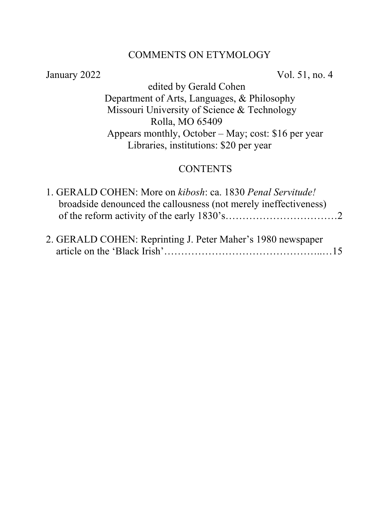# COMMENTS ON ETYMOLOGY

January 2022 Vol. 51, no. 4

 edited by Gerald Cohen Department of Arts, Languages, & Philosophy Missouri University of Science & Technology Rolla, MO 65409 Appears monthly, October – May; cost: \$16 per year Libraries, institutions: \$20 per year

# **CONTENTS**

| 1. GERALD COHEN: More on kibosh: ca. 1830 Penal Servitude!       |  |
|------------------------------------------------------------------|--|
| broadside denounced the callousness (not merely ineffectiveness) |  |
|                                                                  |  |
|                                                                  |  |

|  | 2. GERALD COHEN: Reprinting J. Peter Maher's 1980 newspaper |  |  |  |
|--|-------------------------------------------------------------|--|--|--|
|  |                                                             |  |  |  |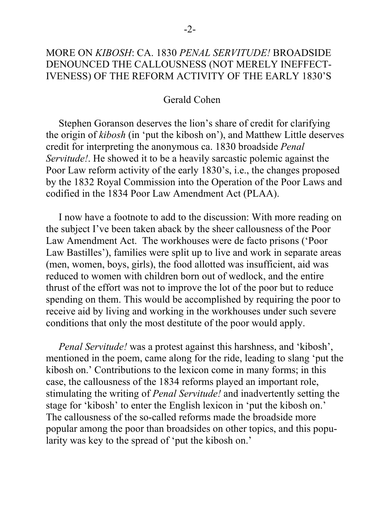# MORE ON *KIBOSH*: CA. 1830 *PENAL SERVITUDE!* BROADSIDE DENOUNCED THE CALLOUSNESS (NOT MERELY INEFFECT-IVENESS) OF THE REFORM ACTIVITY OF THE EARLY 1830'S

### Gerald Cohen

 Stephen Goranson deserves the lion's share of credit for clarifying the origin of *kibosh* (in 'put the kibosh on'), and Matthew Little deserves credit for interpreting the anonymous ca. 1830 broadside *Penal Servitude!*. He showed it to be a heavily sarcastic polemic against the Poor Law reform activity of the early 1830's, i.e., the changes proposed by the 1832 Royal Commission into the Operation of the Poor Laws and codified in the 1834 Poor Law Amendment Act (PLAA).

 I now have a footnote to add to the discussion: With more reading on the subject I've been taken aback by the sheer callousness of the Poor Law Amendment Act. The workhouses were de facto prisons ('Poor Law Bastilles'), families were split up to live and work in separate areas (men, women, boys, girls), the food allotted was insufficient, aid was reduced to women with children born out of wedlock, and the entire thrust of the effort was not to improve the lot of the poor but to reduce spending on them. This would be accomplished by requiring the poor to receive aid by living and working in the workhouses under such severe conditions that only the most destitute of the poor would apply.

 *Penal Servitude!* was a protest against this harshness, and 'kibosh', mentioned in the poem, came along for the ride, leading to slang 'put the kibosh on.' Contributions to the lexicon come in many forms; in this case, the callousness of the 1834 reforms played an important role, stimulating the writing of *Penal Servitude!* and inadvertently setting the stage for 'kibosh' to enter the English lexicon in 'put the kibosh on.' The callousness of the so-called reforms made the broadside more popular among the poor than broadsides on other topics, and this popularity was key to the spread of 'put the kibosh on.'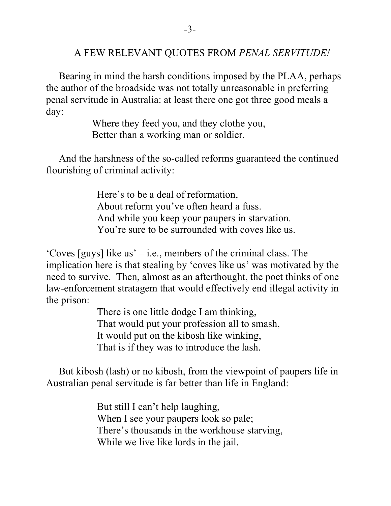# A FEW RELEVANT QUOTES FROM *PENAL SERVITUDE!*

 Bearing in mind the harsh conditions imposed by the PLAA, perhaps the author of the broadside was not totally unreasonable in preferring penal servitude in Australia: at least there one got three good meals a day:

> Where they feed you, and they clothe you, Better than a working man or soldier.

 And the harshness of the so-called reforms guaranteed the continued flourishing of criminal activity:

> Here's to be a deal of reformation, About reform you've often heard a fuss. And while you keep your paupers in starvation. You're sure to be surrounded with coves like us.

'Coves [guys] like us' – i.e., members of the criminal class. The implication here is that stealing by 'coves like us' was motivated by the need to survive. Then, almost as an afterthought, the poet thinks of one law-enforcement stratagem that would effectively end illegal activity in the prison:

> There is one little dodge I am thinking, That would put your profession all to smash, It would put on the kibosh like winking, That is if they was to introduce the lash.

 But kibosh (lash) or no kibosh, from the viewpoint of paupers life in Australian penal servitude is far better than life in England:

> But still I can't help laughing, When I see your paupers look so pale; There's thousands in the workhouse starving, While we live like lords in the jail.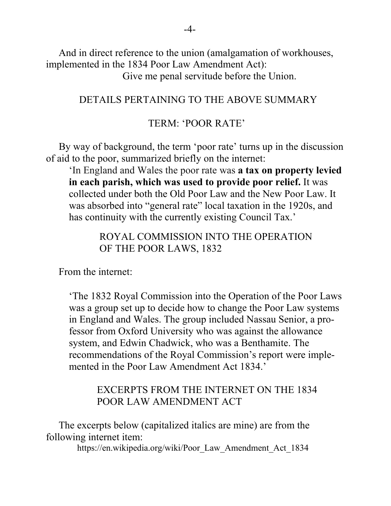And in direct reference to the union (amalgamation of workhouses, implemented in the 1834 Poor Law Amendment Act): Give me penal servitude before the Union.

### DETAILS PERTAINING TO THE ABOVE SUMMARY

#### TERM: 'POOR RATE'

 By way of background, the term 'poor rate' turns up in the discussion of aid to the poor, summarized briefly on the internet:

'In England and Wales the poor rate was **a tax on property levied in each parish, which was used to provide poor relief.** It was collected under both the Old Poor Law and the New Poor Law. It was absorbed into "general rate" local taxation in the 1920s, and has continuity with the currently existing Council Tax.'

> ROYAL COMMISSION INTO THE OPERATION OF THE POOR LAWS, 1832

From the internet:

'The 1832 Royal Commission into the Operation of the Poor Laws was a group set up to decide how to change the Poor Law systems in England and Wales. The group included Nassau Senior, a professor from Oxford University who was against the allowance system, and Edwin Chadwick, who was a Benthamite. The recommendations of the Royal Commission's report were implemented in the Poor Law Amendment Act 1834.'

### EXCERPTS FROM THE INTERNET ON THE 1834 POOR LAW AMENDMENT ACT

 The excerpts below (capitalized italics are mine) are from the following internet item:

[https://en.wikipedia.org/wiki/Poor\\_Law\\_Amendment\\_Act\\_1834](https://en.wikipedia.org/wiki/Poor_Law_Amendment_Act_1834)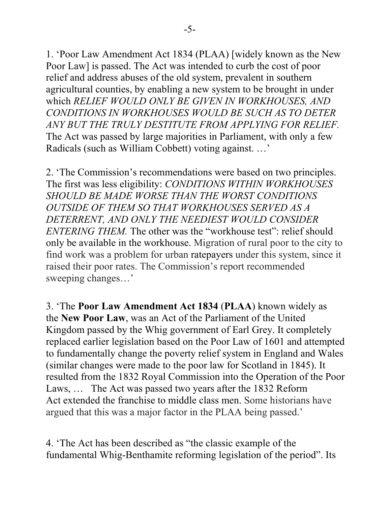1. 'Poor Law Amendment Act 1834 (PLAA) [widely known as the New Poor Law] is passed. The Act was intended to curb the cost of [poor](https://en.wikipedia.org/wiki/English_Poor_Laws)  [relief](https://en.wikipedia.org/wiki/English_Poor_Laws) and address abuses of the old system, prevalent in southern agricultural counties, by enabling a new system to be brought in under which *RELIEF WOULD ONLY BE GIVEN IN [WORKHOUSES,](https://en.wikipedia.org/wiki/Workhouse) AND CONDITIONS IN WORKHOUSES WOULD BE SUCH AS TO DETER ANY BUT THE TRULY DESTITUTE FROM [APPLYING](https://en.wikipedia.org/wiki/Poor_Law_Amendment_Act_1834) FOR RELIEF.*  The Act was passed by large majorities in Parliament, with only a few Radicals (such as [William Cobbett\)](https://en.wikipedia.org/wiki/William_Cobbett) voting against. …'

2. 'The Commission's recommendations were based on two principles. The first was [less eligibility:](https://en.wikipedia.org/wiki/Less_eligibility) *CONDITIONS WITHIN WORKHOUSES SHOULD BE MADE WORSE THAN THE WORST CONDITIONS OUTSIDE OF THEM SO THAT WORKHOUSES SERVED AS A DETERRENT, AND ONLY THE NEEDIEST WOULD CONSIDER ENTERING THEM.* The other was the "workhouse test": relief should only be available in the workhouse. Migration of rural poor to the city to find work was a problem for urban [ratepayers](https://en.wikipedia.org/wiki/Ratepayer) under this system, since it raised their poor rates. The Commission's report recommended sweeping changes…'

3. 'The **Poor Law Amendment Act 1834** (**PLAA**) known widely as the **New Poor Law**, was an [Act](https://en.wikipedia.org/wiki/Act_of_Parliament) of the [Parliament of the United](https://en.wikipedia.org/wiki/Parliament_of_the_United_Kingdom)  [Kingdom](https://en.wikipedia.org/wiki/Parliament_of_the_United_Kingdom) passed by the [Whig](https://en.wikipedia.org/wiki/British_Whig_Party) government of [Earl Grey.](https://en.wikipedia.org/wiki/Charles_Grey,_2nd_Earl_Grey) It completely replaced earlier legislation based on the [Poor Law of 1601](https://en.wikipedia.org/wiki/Elizabethan_Poor_Law_1601) and attempted to fundamentally change the [poverty relief system](https://en.wikipedia.org/wiki/Social_security) in England and Wales (similar changes were made to the [poor law](https://en.wikipedia.org/wiki/Poor_law) for Scotland in 1845). It resulted from the [1832 Royal Commission into the Operation of the Poor](https://en.wikipedia.org/wiki/1832_Royal_Commission_into_the_Operation_of_the_Poor_Laws)  [Laws,](https://en.wikipedia.org/wiki/1832_Royal_Commission_into_the_Operation_of_the_Poor_Laws) … The Act was passed two years after the [1832 Reform](https://en.wikipedia.org/wiki/1832_Reform_Act)  [Act](https://en.wikipedia.org/wiki/1832_Reform_Act) extended the [franchise](https://en.wikipedia.org/wiki/Suffrage) to middle class men. Some historians have argued that this was a major factor in the PLAA being passed.'

4. 'The Act has been described as "the classic example of the fundamental Whig[-Benthamite](https://en.wikipedia.org/wiki/Benthamite) reforming legislation of the period". Its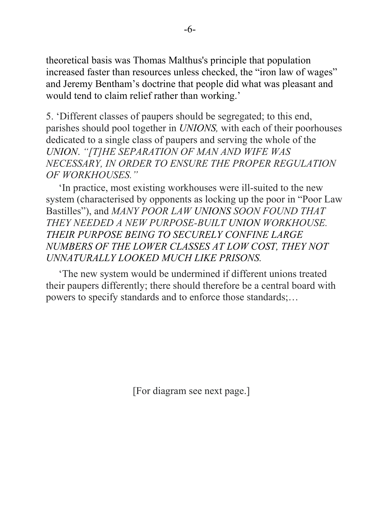theoretical basis was [Thomas Malthus'](https://en.wikipedia.org/wiki/Thomas_Malthus)s principle that population increased faster than resources unless checked, the ["iron law of wages"](https://en.wikipedia.org/wiki/Iron_law_of_wages) and [Jeremy Bentham'](https://en.wikipedia.org/wiki/Jeremy_Bentham)s doctrine that people did what was pleasant and would tend to claim relief rather than working.'

5. 'Different classes of paupers should be segregated; to this end, parishes should pool together in *UNIONS,* with each of their poorhouses dedicated to a single class of paupers and serving the whole of the *UNION*. *"[T]HE SEPARATION OF MAN AND WIFE WAS NECESSARY, IN ORDER TO ENSURE THE PROPER REGULATION OF WORKHOUSES."*

 'In practice, most existing workhouses were ill-suited to the new system (characterised by opponents as locking up the poor in "Poor Law Bastilles"), and *MANY POOR LAW UNIONS SOON FOUND THAT THEY NEEDED A NEW PURPOSE-BUILT UNION WORKHOUSE. THEIR PURPOSE BEING TO SECURELY CONFINE LARGE NUMBERS OF THE LOWER CLASSES AT LOW COST, THEY NOT UNNATURALLY LOOKED MUCH LIKE PRISONS.*

 'The new system would be undermined if different unions treated their paupers differently; there should therefore be a central board with powers to specify standards and to enforce those standards;…

[For diagram see next page.]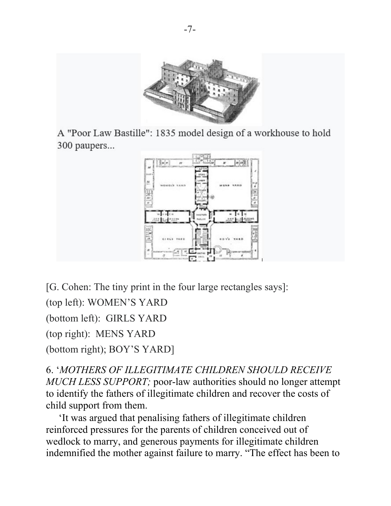

A "Poor Law Bastille": 1835 model design of a workhouse to hold 300 paupers...



[G. Cohen: The tiny print in the four large rectangles says]: (top left): WOMEN'S YARD (bottom left): GIRLS YARD (top right): MENS YARD (bottom right); BOY'S YARD]

6. '*MOTHERS OF ILLEGITIMATE CHILDREN SHOULD RECEIVE MUCH LESS SUPPORT;* poor-law authorities should no longer attempt to identify the fathers of illegitimate children and recover the costs of child support from them.

 'It was argued that penalising fathers of illegitimate children reinforced pressures for the parents of children conceived out of wedlock to marry, and generous payments for illegitimate children indemnified the mother against failure to marry. "The effect has been to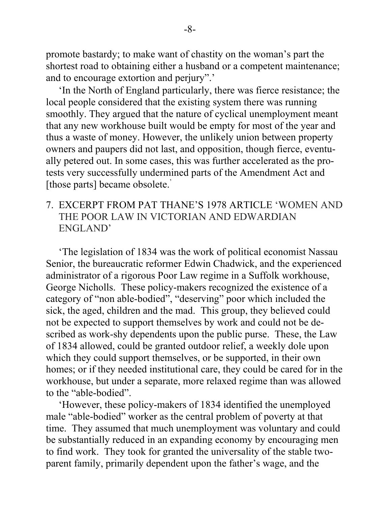promote bastardy; to make want of chastity on the woman's part the shortest road to obtaining either a husband or a competent maintenance; and to encourage extortion and perjury".'

 'In the North of England particularly, there was fierce resistance; the local people considered that the existing system there was running smoothly. They argued that the nature of cyclical unemployment meant that any new workhouse built would be empty for most of the year and thus a waste of money. However, the unlikely union between property owners and paupers did not last, and opposition, though fierce, eventually petered out. In some cases, this was further accelerated as the protests very successfully undermined parts of the Amendment Act and [those parts] became obsolete.<sup>'</sup>

# 7. EXCERPT FROM PAT THANE'S 1978 ARTICLE 'WOMEN AND THE POOR LAW IN VICTORIAN AND EDWARDIAN ENGLAND'

 'The legislation of 1834 was the work of political economist Nassau Senior, the bureaucratic reformer Edwin Chadwick, and the experienced administrator of a rigorous Poor Law regime in a Suffolk workhouse, George Nicholls. These policy-makers recognized the existence of a category of "non able-bodied", "deserving" poor which included the sick, the aged, children and the mad. This group, they believed could not be expected to support themselves by work and could not be described as work-shy dependents upon the public purse. These, the Law of 1834 allowed, could be granted outdoor relief, a weekly dole upon which they could support themselves, or be supported, in their own homes; or if they needed institutional care, they could be cared for in the workhouse, but under a separate, more relaxed regime than was allowed to the "able-bodied".

 'However, these policy-makers of 1834 identified the unemployed male "able-bodied" worker as the central problem of poverty at that time. They assumed that much unemployment was voluntary and could be substantially reduced in an expanding economy by encouraging men to find work. They took for granted the universality of the stable twoparent family, primarily dependent upon the father's wage, and the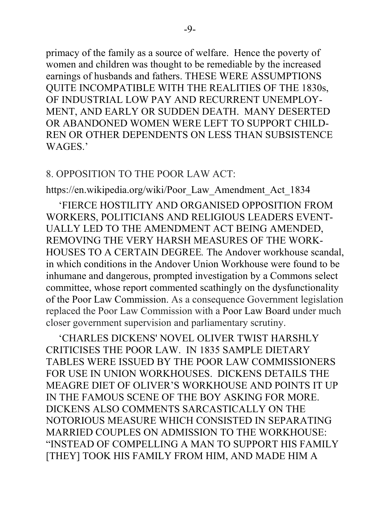primacy of the family as a source of welfare. Hence the poverty of women and children was thought to be remediable by the increased earnings of husbands and fathers. THESE WERE ASSUMPTIONS QUITE INCOMPATIBLE WITH THE REALITIES OF THE 1830s, OF INDUSTRIAL LOW PAY AND RECURRENT UNEMPLOY-MENT, AND EARLY OR SUDDEN DEATH. MANY DESERTED OR ABANDONED WOMEN WERE LEFT TO SUPPORT CHILD-REN OR OTHER DEPENDENTS ON LESS THAN SUBSISTENCE WAGES.'

### 8. OPPOSITION TO THE POOR LAW ACT:

https://en.wikipedia.org/wiki/Poor\_Law\_Amendment\_Act\_1834

 'FIERCE HOSTILITY AND ORGANISED OPPOSITION FROM WORKERS, POLITICIANS AND RELIGIOUS LEADERS EVENT-UALLY LED TO THE AMENDMENT ACT BEING AMENDED, REMOVING THE VERY HARSH MEASURES OF THE WORK-HOUSES TO A CERTAIN DEGREE*.* The [Andover workhouse scandal,](https://en.wikipedia.org/wiki/Andover_workhouse_scandal) in which conditions in the [Andover](https://en.wikipedia.org/wiki/Andover,_Hampshire) Union Workhouse were found to be inhumane and dangerous, prompted investigation by a Commons select committee, whose report commented scathingly on the dysfunctionality of the Poor Law Commission. As a consequence Government legislation replaced the Poor Law Commission with a [Poor Law Board](https://en.wikipedia.org/wiki/Poor_Law_Board) under much closer government supervision and parliamentary scrutiny.

 ['CHARLES DICKENS'](https://en.wikipedia.org/wiki/Charles_Dickens) NOVEL [OLIVER TWIST](https://en.wikipedia.org/wiki/Oliver_Twist) HARSHLY CRITICISES THE POOR LAW. IN 1835 SAMPLE DIETARY TABLES WERE ISSUED BY THE POOR LAW COMMISSIONERS FOR USE IN UNION WORKHOUSES. DICKENS DETAILS THE MEAGRE DIET OF OLIVER'S WORKHOUSE AND POINTS IT UP IN THE FAMOUS SCENE OF THE BOY ASKING FOR MORE. DICKENS ALSO COMMENTS SARCASTICALLY ON THE NOTORIOUS MEASURE WHICH CONSISTED IN SEPARATING MARRIED COUPLES ON ADMISSION TO THE WORKHOUSE: "INSTEAD OF COMPELLING A MAN TO SUPPORT HIS FAMILY [THEY] TOOK HIS FAMILY FROM HIM, AND MADE HIM A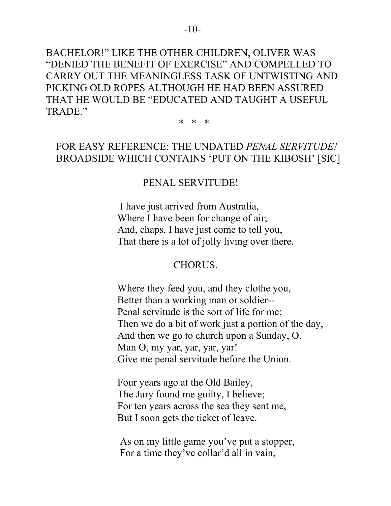BACHELOR!" LIKE THE OTHER CHILDREN, OLIVER WAS "DENIED THE BENEFIT OF EXERCISE" AND COMPELLED TO CARRY OUT THE MEANINGLESS TASK OF UNTWISTING AND PICKING OLD ROPES ALTHOUGH HE HAD BEEN ASSURED THAT HE WOULD BE "EDUCATED AND TAUGHT A USEFUL TRADE."

 $*$  \* \* \* \*

# FOR EASY REFERENCE: THE UNDATED *PENAL SERVITUDE!* BROADSIDE WHICH CONTAINS 'PUT ON THE KIBOSH' [SIC]

# PENAL SERVITUDE!

 I have just arrived from Australia, Where I have been for change of air; And, chaps, I have just come to tell you, That there is a lot of jolly living over there.

# CHORUS.

 Where they feed you, and they clothe you, Better than a working man or soldier-- Penal servitude is the sort of life for me; Then we do a bit of work just a portion of the day, And then we go to church upon a Sunday, O. Man O, my yar, yar, yar, yar! Give me penal servitude before the Union.

 Four years ago at the Old Bailey, The Jury found me guilty, I believe; For ten years across the sea they sent me, But I soon gets the ticket of leave.

 As on my little game you've put a stopper, For a time they've collar'd all in vain,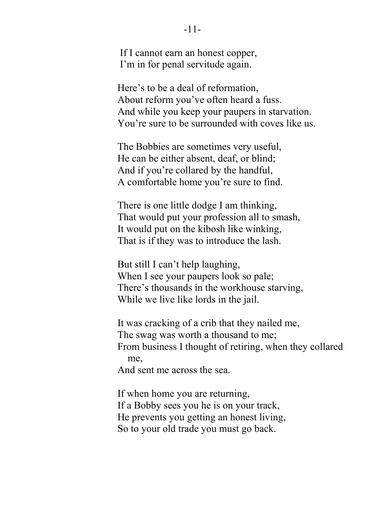If I cannot earn an honest copper, I'm in for penal servitude again.

 Here's to be a deal of reformation, About reform you've often heard a fuss. And while you keep your paupers in starvation. You're sure to be surrounded with coves like us.

 The Bobbies are sometimes very useful, He can be either absent, deaf, or blind; And if you're collared by the handful, A comfortable home you're sure to find.

 There is one little dodge I am thinking, That would put your profession all to smash, It would put on the kibosh like winking, That is if they was to introduce the lash.

 But still I can't help laughing, When I see your paupers look so pale; There's thousands in the workhouse starving, While we live like lords in the jail.

 It was cracking of a crib that they nailed me, The swag was worth a thousand to me; From business I thought of retiring, when they collared me, And sent me across the sea.

 If when home you are returning, If a Bobby sees you he is on your track, He prevents you getting an honest living, So to your old trade you must go back.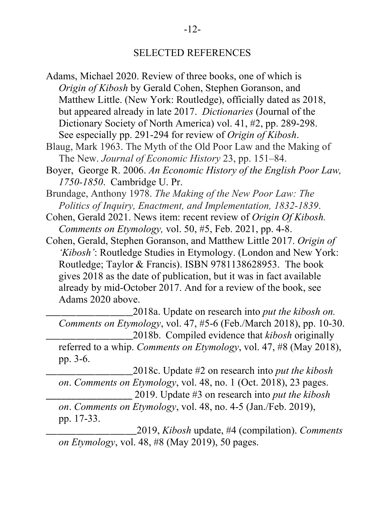### SELECTED REFERENCES

Adams, Michael 2020. Review of three books, one of which is *Origin of Kibosh* by Gerald Cohen, Stephen Goranson, and Matthew Little. (New York: Routledge), officially dated as 2018, but appeared already in late 2017. *Dictionaries* (Journal of the Dictionary Society of North America) vol. 41, #2, pp. 289-298. See especially pp. 291-294 for review of *Origin of Kibosh*.

Blaug, Mark 1963. The Myth of the Old Poor Law and the Making of The New. *Journal of Economic History* 23, pp. 151–84.

Boyer, George R. 2006. *An Economic History of the English Poor Law, 1750-1850*. Cambridge U. Pr.

Brundage, Anthony 1978. *The Making of the New Poor Law: The Politics of Inquiry, Enactment, and Implementation, 1832-1839*.

- Cohen, Gerald 2021. News item: recent review of *Origin Of Kibosh. Comments on Etymology,* vol. 50, #5, Feb. 2021, pp. 4-8.
- Cohen, Gerald, Stephen Goranson, and Matthew Little 2017. *Origin of 'Kibosh'*: Routledge Studies in Etymology. (London and New York: Routledge; Taylor & Francis). ISBN 9781138628953. The book gives 2018 as the date of publication, but it was in fact available already by mid-October 2017. And for a review of the book, see Adams 2020 above.

\_\_\_\_\_\_\_\_\_\_\_\_\_\_\_\_\_\_\_\_\_\_\_2018a. Update on research into *put the kibosh on. Comments on Etymology*, vol. 47, #5-6 (Feb./March 2018), pp. 10-30. \_\_\_\_\_\_\_\_\_\_\_\_\_\_\_\_\_\_\_\_\_\_\_2018b. Compiled evidence that *kibosh* originally referred to a whip. *Comments on Etymology*, vol. 47, #8 (May 2018),

 pp. 3-6. \_\_\_\_\_\_\_\_\_\_\_\_\_\_\_\_\_\_\_\_\_\_\_2018c. Update #2 on research into *put the kibosh*

 *on*. *Comments on Etymology*, vol. 48, no. 1 (Oct. 2018), 23 pages. \_\_\_\_\_\_\_\_\_\_\_\_\_\_\_\_\_ 2019. Update #3 on research into *put the kibosh*

 *on*. *Comments on Etymology*, vol. 48, no. 4-5 (Jan./Feb. 2019), pp. 17-33.

\_\_\_\_\_\_\_\_\_\_\_\_\_\_\_\_\_\_\_\_\_\_\_\_2019, *Kibosh* update, #4 (compilation). *Comments on Etymology*, vol. 48, #8 (May 2019), 50 pages.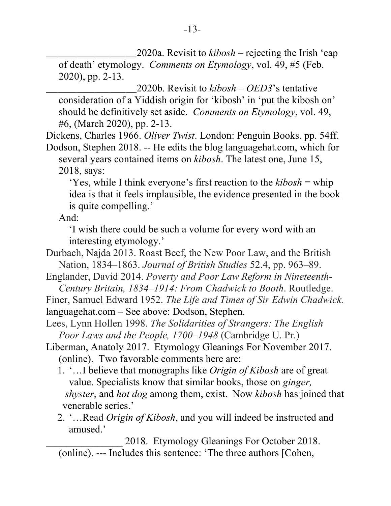\_\_\_\_\_\_\_\_\_\_\_\_\_\_\_\_\_\_\_\_\_\_\_\_2020a. Revisit to *kibosh* – rejecting the Irish 'cap of death' etymology. *Comments on Etymology*, vol. 49, #5 (Feb. 2020), pp. 2-13.

\_\_\_\_\_\_\_\_\_\_\_\_\_\_\_\_\_\_\_\_\_\_\_\_2020b. Revisit to *kibosh* – *OED3*'s tentative consideration of a Yiddish origin for 'kibosh' in 'put the kibosh on' should be definitively set aside. *Comments on Etymology*, vol. 49, #6, (March 2020), pp. 2-13.

Dickens, Charles 1966. *Oliver Twist*. London: Penguin Books. pp. 54ff. Dodson, Stephen 2018. -- He edits the blog languagehat.com, which for several years contained items on *kibosh*. The latest one, June 15, 2018, says:

'Yes, while I think everyone's first reaction to the *kibosh* = whip idea is that it feels implausible, the evidence presented in the book is quite compelling.'

And:

 'I wish there could be such a volume for every word with an interesting etymology.'

Durbach, Najda 2013. Roast Beef, the New Poor Law, and the British Nation, 1834–1863. *Journal of British Studies* 52.4, pp. 963–89.

Englander, David 2014. *Poverty and Poor Law Reform in Nineteenth- Century Britain, 1834–1914: From Chadwick to Booth*. Routledge.

Finer, Samuel Edward 1952. *The Life and Times of Sir Edwin Chadwick.* languagehat.com – See above: Dodson, Stephen.

Lees, Lynn Hollen 1998. *The Solidarities of Strangers: The English Poor Laws and the People, 1700–1948* (Cambridge U. Pr.)

Liberman, Anatoly 2017. Etymology Gleanings For November 2017. (online). Two favorable comments here are:

- 1. '…I believe that monographs like *Origin of Kibosh* are of great value. Specialists know that similar books, those on *ginger, shyster*, and *hot dog* among them, exist. Now *kibosh* has joined that venerable series.'
- 2. '…Read *Origin of Kibosh*, and you will indeed be instructed and amused.'

2018. Etymology Gleanings For October 2018. (online). --- Includes this sentence: 'The three authors [Cohen,